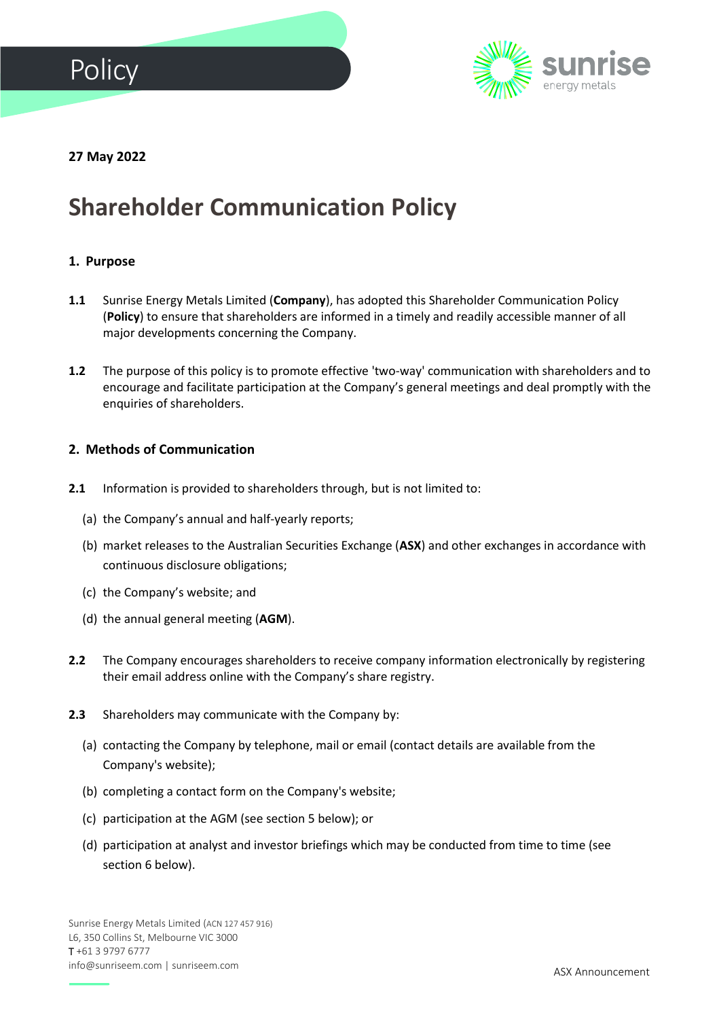



**27 May 2022**

# **Shareholder Communication Policy**

## **1. Purpose**

- **1.1** Sunrise Energy Metals Limited (**Company**), has adopted this Shareholder Communication Policy (**Policy**) to ensure that shareholders are informed in a timely and readily accessible manner of all major developments concerning the Company.
- **1.2** The purpose of this policy is to promote effective 'two-way' communication with shareholders and to encourage and facilitate participation at the Company's general meetings and deal promptly with the enquiries of shareholders.

#### **2. Methods of Communication**

- **2.1** Information is provided to shareholders through, but is not limited to:
	- (a) the Company's annual and half-yearly reports;
	- (b) market releases to the Australian Securities Exchange (**ASX**) and other exchanges in accordance with continuous disclosure obligations;
	- (c) the Company's website; and
	- (d) the annual general meeting (**AGM**).
- **2.2** The Company encourages shareholders to receive company information electronically by registering their email address online with the Company's share registry.
- **2.3** Shareholders may communicate with the Company by:
	- (a) contacting the Company by telephone, mail or email (contact details are available from the Company's website);
	- (b) completing a contact form on the Company's website;
	- (c) participation at the AGM (see section 5 below); or
	- (d) participation at analyst and investor briefings which may be conducted from time to time (see section 6 below).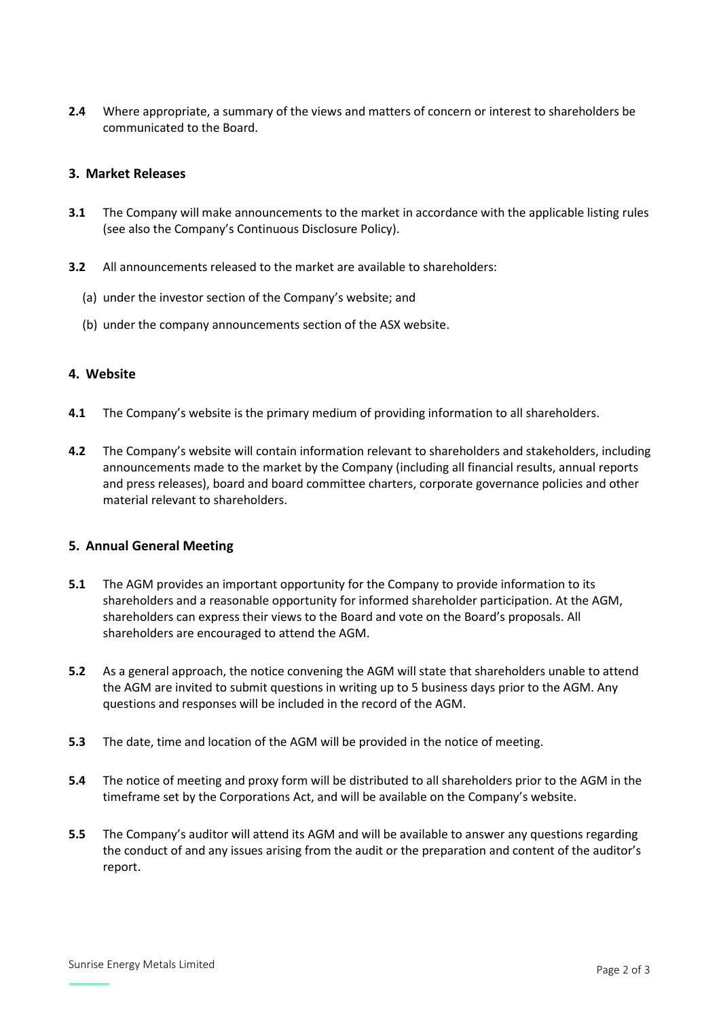**2.4** Where appropriate, a summary of the views and matters of concern or interest to shareholders be communicated to the Board.

## **3. Market Releases**

- **3.1** The Company will make announcements to the market in accordance with the applicable listing rules (see also the Company's Continuous Disclosure Policy).
- **3.2** All announcements released to the market are available to shareholders:
	- (a) under the investor section of the Company's website; and
	- (b) under the company announcements section of the ASX website.

#### **4. Website**

- **4.1** The Company's website is the primary medium of providing information to all shareholders.
- **4.2** The Company's website will contain information relevant to shareholders and stakeholders, including announcements made to the market by the Company (including all financial results, annual reports and press releases), board and board committee charters, corporate governance policies and other material relevant to shareholders.

#### **5. Annual General Meeting**

- **5.1** The AGM provides an important opportunity for the Company to provide information to its shareholders and a reasonable opportunity for informed shareholder participation. At the AGM, shareholders can express their views to the Board and vote on the Board's proposals. All shareholders are encouraged to attend the AGM.
- **5.2** As a general approach, the notice convening the AGM will state that shareholders unable to attend the AGM are invited to submit questions in writing up to 5 business days prior to the AGM. Any questions and responses will be included in the record of the AGM.
- **5.3** The date, time and location of the AGM will be provided in the notice of meeting.
- **5.4** The notice of meeting and proxy form will be distributed to all shareholders prior to the AGM in the timeframe set by the Corporations Act, and will be available on the Company's website.
- **5.5** The Company's auditor will attend its AGM and will be available to answer any questions regarding the conduct of and any issues arising from the audit or the preparation and content of the auditor's report.